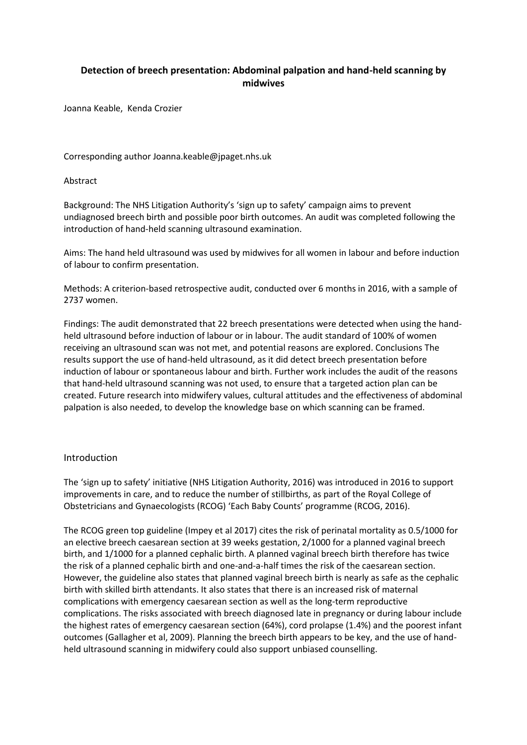## **Detection of breech presentation: Abdominal palpation and hand-held scanning by midwives**

Joanna Keable, Kenda Crozier

Corresponding author Joanna.keable@jpaget.nhs.uk

#### Abstract

Background: The NHS Litigation Authority's 'sign up to safety' campaign aims to prevent undiagnosed breech birth and possible poor birth outcomes. An audit was completed following the introduction of hand-held scanning ultrasound examination.

Aims: The hand held ultrasound was used by midwives for all women in labour and before induction of labour to confirm presentation.

Methods: A criterion-based retrospective audit, conducted over 6 months in 2016, with a sample of 2737 women.

Findings: The audit demonstrated that 22 breech presentations were detected when using the handheld ultrasound before induction of labour or in labour. The audit standard of 100% of women receiving an ultrasound scan was not met, and potential reasons are explored. Conclusions The results support the use of hand-held ultrasound, as it did detect breech presentation before induction of labour or spontaneous labour and birth. Further work includes the audit of the reasons that hand-held ultrasound scanning was not used, to ensure that a targeted action plan can be created. Future research into midwifery values, cultural attitudes and the effectiveness of abdominal palpation is also needed, to develop the knowledge base on which scanning can be framed.

#### Introduction

The 'sign up to safety' initiative (NHS Litigation Authority, 2016) was introduced in 2016 to support improvements in care, and to reduce the number of stillbirths, as part of the Royal College of Obstetricians and Gynaecologists (RCOG) 'Each Baby Counts' programme (RCOG, 2016).

The RCOG green top guideline (Impey et al 2017) cites the risk of perinatal mortality as 0.5/1000 for an elective breech caesarean section at 39 weeks gestation, 2/1000 for a planned vaginal breech birth, and 1/1000 for a planned cephalic birth. A planned vaginal breech birth therefore has twice the risk of a planned cephalic birth and one-and-a-half times the risk of the caesarean section. However, the guideline also states that planned vaginal breech birth is nearly as safe as the cephalic birth with skilled birth attendants. It also states that there is an increased risk of maternal complications with emergency caesarean section as well as the long-term reproductive complications. The risks associated with breech diagnosed late in pregnancy or during labour include the highest rates of emergency caesarean section (64%), cord prolapse (1.4%) and the poorest infant outcomes (Gallagher et al, 2009). Planning the breech birth appears to be key, and the use of handheld ultrasound scanning in midwifery could also support unbiased counselling.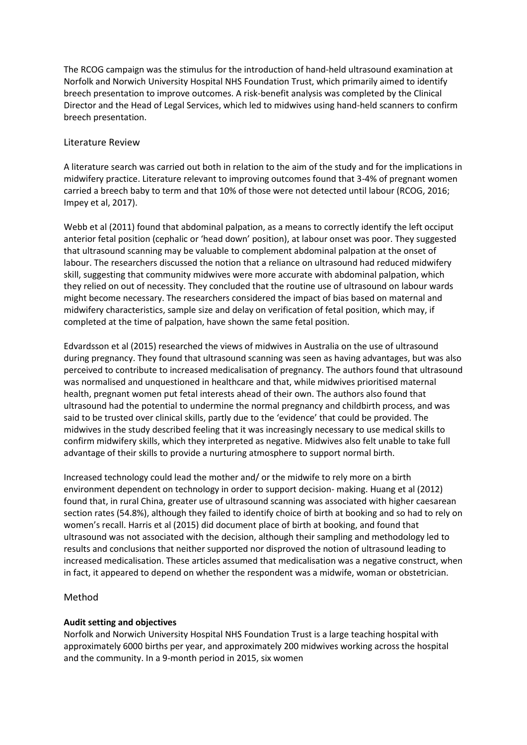The RCOG campaign was the stimulus for the introduction of hand-held ultrasound examination at Norfolk and Norwich University Hospital NHS Foundation Trust, which primarily aimed to identify breech presentation to improve outcomes. A risk-benefit analysis was completed by the Clinical Director and the Head of Legal Services, which led to midwives using hand-held scanners to confirm breech presentation.

### Literature Review

A literature search was carried out both in relation to the aim of the study and for the implications in midwifery practice. Literature relevant to improving outcomes found that 3-4% of pregnant women carried a breech baby to term and that 10% of those were not detected until labour (RCOG, 2016; Impey et al, 2017).

Webb et al (2011) found that abdominal palpation, as a means to correctly identify the left occiput anterior fetal position (cephalic or 'head down' position), at labour onset was poor. They suggested that ultrasound scanning may be valuable to complement abdominal palpation at the onset of labour. The researchers discussed the notion that a reliance on ultrasound had reduced midwifery skill, suggesting that community midwives were more accurate with abdominal palpation, which they relied on out of necessity. They concluded that the routine use of ultrasound on labour wards might become necessary. The researchers considered the impact of bias based on maternal and midwifery characteristics, sample size and delay on verification of fetal position, which may, if completed at the time of palpation, have shown the same fetal position.

Edvardsson et al (2015) researched the views of midwives in Australia on the use of ultrasound during pregnancy. They found that ultrasound scanning was seen as having advantages, but was also perceived to contribute to increased medicalisation of pregnancy. The authors found that ultrasound was normalised and unquestioned in healthcare and that, while midwives prioritised maternal health, pregnant women put fetal interests ahead of their own. The authors also found that ultrasound had the potential to undermine the normal pregnancy and childbirth process, and was said to be trusted over clinical skills, partly due to the 'evidence' that could be provided. The midwives in the study described feeling that it was increasingly necessary to use medical skills to confirm midwifery skills, which they interpreted as negative. Midwives also felt unable to take full advantage of their skills to provide a nurturing atmosphere to support normal birth.

Increased technology could lead the mother and/ or the midwife to rely more on a birth environment dependent on technology in order to support decision- making. Huang et al (2012) found that, in rural China, greater use of ultrasound scanning was associated with higher caesarean section rates (54.8%), although they failed to identify choice of birth at booking and so had to rely on women's recall. Harris et al (2015) did document place of birth at booking, and found that ultrasound was not associated with the decision, although their sampling and methodology led to results and conclusions that neither supported nor disproved the notion of ultrasound leading to increased medicalisation. These articles assumed that medicalisation was a negative construct, when in fact, it appeared to depend on whether the respondent was a midwife, woman or obstetrician.

## Method

#### **Audit setting and objectives**

Norfolk and Norwich University Hospital NHS Foundation Trust is a large teaching hospital with approximately 6000 births per year, and approximately 200 midwives working across the hospital and the community. In a 9-month period in 2015, six women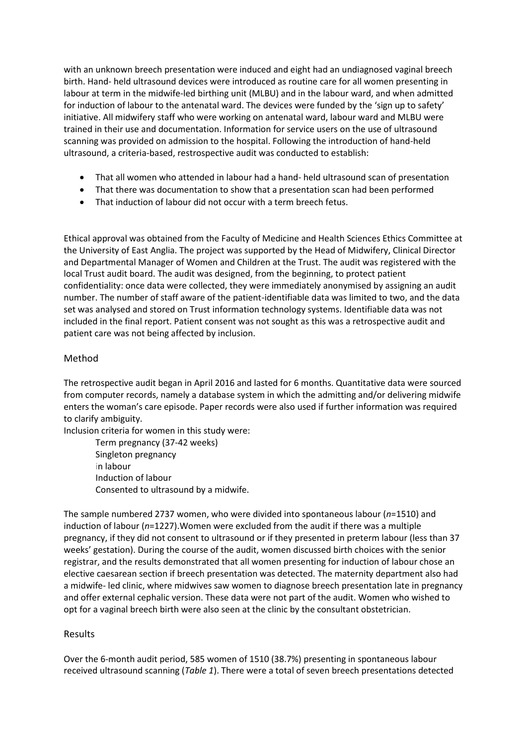with an unknown breech presentation were induced and eight had an undiagnosed vaginal breech birth. Hand- held ultrasound devices were introduced as routine care for all women presenting in labour at term in the midwife-led birthing unit (MLBU) and in the labour ward, and when admitted for induction of labour to the antenatal ward. The devices were funded by the 'sign up to safety' initiative. All midwifery staff who were working on antenatal ward, labour ward and MLBU were trained in their use and documentation. Information for service users on the use of ultrasound scanning was provided on admission to the hospital. Following the introduction of hand-held ultrasound, a criteria-based, restrospective audit was conducted to establish:

- That all women who attended in labour had a hand- held ultrasound scan of presentation
- That there was documentation to show that a presentation scan had been performed
- That induction of labour did not occur with a term breech fetus.

Ethical approval was obtained from the Faculty of Medicine and Health Sciences Ethics Committee at the University of East Anglia. The project was supported by the Head of Midwifery, Clinical Director and Departmental Manager of Women and Children at the Trust. The audit was registered with the local Trust audit board. The audit was designed, from the beginning, to protect patient confidentiality: once data were collected, they were immediately anonymised by assigning an audit number. The number of staff aware of the patient-identifiable data was limited to two, and the data set was analysed and stored on Trust information technology systems. Identifiable data was not included in the final report. Patient consent was not sought as this was a retrospective audit and patient care was not being affected by inclusion.

## Method

The retrospective audit began in April 2016 and lasted for 6 months. Quantitative data were sourced from computer records, namely a database system in which the admitting and/or delivering midwife enters the woman's care episode. Paper records were also used if further information was required to clarify ambiguity.

Inclusion criteria for women in this study were:

Term pregnancy (37-42 weeks) Singleton pregnancy in labour Induction of labour Consented to ultrasound by a midwife.

The sample numbered 2737 women, who were divided into spontaneous labour (*n*=1510) and induction of labour (*n*=1227).Women were excluded from the audit if there was a multiple pregnancy, if they did not consent to ultrasound or if they presented in preterm labour (less than 37 weeks' gestation). During the course of the audit, women discussed birth choices with the senior registrar, and the results demonstrated that all women presenting for induction of labour chose an elective caesarean section if breech presentation was detected. The maternity department also had a midwife- led clinic, where midwives saw women to diagnose breech presentation late in pregnancy and offer external cephalic version. These data were not part of the audit. Women who wished to opt for a vaginal breech birth were also seen at the clinic by the consultant obstetrician.

## Results

Over the 6-month audit period, 585 women of 1510 (38.7%) presenting in spontaneous labour received ultrasound scanning (*Table 1*). There were a total of seven breech presentations detected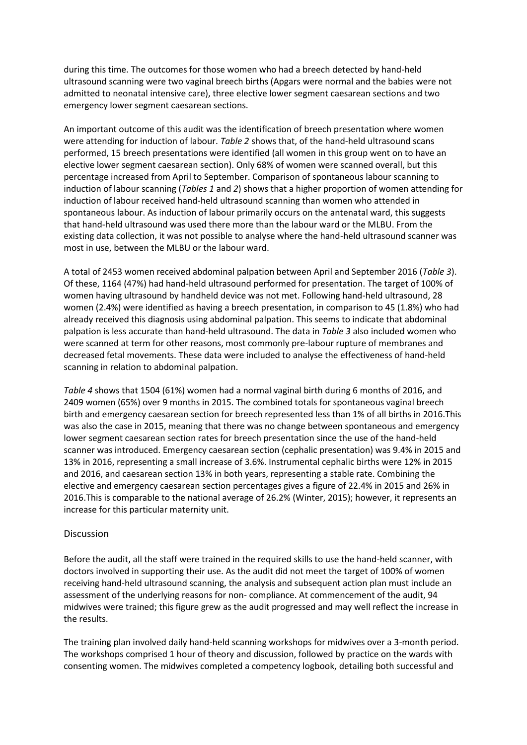during this time. The outcomes for those women who had a breech detected by hand-held ultrasound scanning were two vaginal breech births (Apgars were normal and the babies were not admitted to neonatal intensive care), three elective lower segment caesarean sections and two emergency lower segment caesarean sections.

An important outcome of this audit was the identification of breech presentation where women were attending for induction of labour. *Table 2* shows that, of the hand-held ultrasound scans performed, 15 breech presentations were identified (all women in this group went on to have an elective lower segment caesarean section). Only 68% of women were scanned overall, but this percentage increased from April to September. Comparison of spontaneous labour scanning to induction of labour scanning (*Tables 1* and *2*) shows that a higher proportion of women attending for induction of labour received hand-held ultrasound scanning than women who attended in spontaneous labour. As induction of labour primarily occurs on the antenatal ward, this suggests that hand-held ultrasound was used there more than the labour ward or the MLBU. From the existing data collection, it was not possible to analyse where the hand-held ultrasound scanner was most in use, between the MLBU or the labour ward.

A total of 2453 women received abdominal palpation between April and September 2016 (*Table 3*). Of these, 1164 (47%) had hand-held ultrasound performed for presentation. The target of 100% of women having ultrasound by handheld device was not met. Following hand-held ultrasound, 28 women (2.4%) were identified as having a breech presentation, in comparison to 45 (1.8%) who had already received this diagnosis using abdominal palpation. This seems to indicate that abdominal palpation is less accurate than hand-held ultrasound. The data in *Table 3* also included women who were scanned at term for other reasons, most commonly pre-labour rupture of membranes and decreased fetal movements. These data were included to analyse the effectiveness of hand-held scanning in relation to abdominal palpation.

*Table 4* shows that 1504 (61%) women had a normal vaginal birth during 6 months of 2016, and 2409 women (65%) over 9 months in 2015. The combined totals for spontaneous vaginal breech birth and emergency caesarean section for breech represented less than 1% of all births in 2016.This was also the case in 2015, meaning that there was no change between spontaneous and emergency lower segment caesarean section rates for breech presentation since the use of the hand-held scanner was introduced. Emergency caesarean section (cephalic presentation) was 9.4% in 2015 and 13% in 2016, representing a small increase of 3.6%. Instrumental cephalic births were 12% in 2015 and 2016, and caesarean section 13% in both years, representing a stable rate. Combining the elective and emergency caesarean section percentages gives a figure of 22.4% in 2015 and 26% in 2016.This is comparable to the national average of 26.2% (Winter, 2015); however, it represents an increase for this particular maternity unit.

#### Discussion

Before the audit, all the staff were trained in the required skills to use the hand-held scanner, with doctors involved in supporting their use. As the audit did not meet the target of 100% of women receiving hand-held ultrasound scanning, the analysis and subsequent action plan must include an assessment of the underlying reasons for non- compliance. At commencement of the audit, 94 midwives were trained; this figure grew as the audit progressed and may well reflect the increase in the results.

The training plan involved daily hand-held scanning workshops for midwives over a 3-month period. The workshops comprised 1 hour of theory and discussion, followed by practice on the wards with consenting women. The midwives completed a competency logbook, detailing both successful and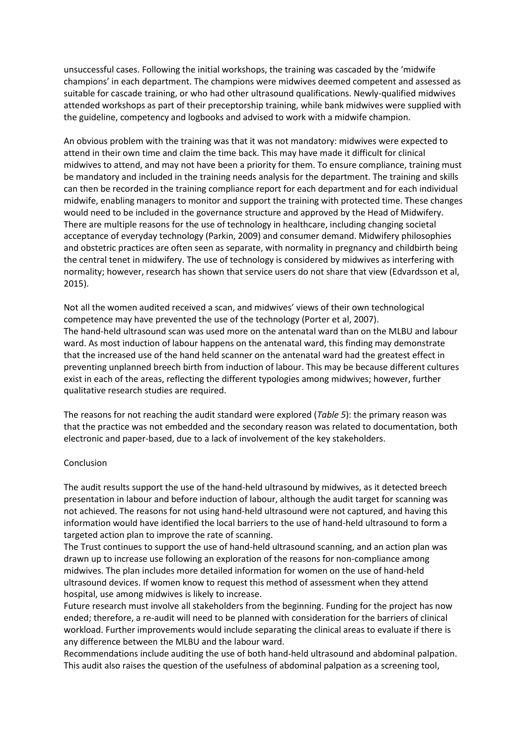unsuccessful cases. Following the initial workshops, the training was cascaded by the 'midwife champions' in each department. The champions were midwives deemed competent and assessed as suitable for cascade training, or who had other ultrasound qualifications. Newly-qualified midwives attended workshops as part of their preceptorship training, while bank midwives were supplied with the guideline, competency and logbooks and advised to work with a midwife champion.

An obvious problem with the training was that it was not mandatory: midwives were expected to attend in their own time and claim the time back. This may have made it difficult for clinical midwives to attend, and may not have been a priority for them. To ensure compliance, training must be mandatory and included in the training needs analysis for the department. The training and skills can then be recorded in the training compliance report for each department and for each individual midwife, enabling managers to monitor and support the training with protected time. These changes would need to be included in the governance structure and approved by the Head of Midwifery. There are multiple reasons for the use of technology in healthcare, including changing societal acceptance of everyday technology (Parkin, 2009) and consumer demand. Midwifery philosophies and obstetric practices are often seen as separate, with normality in pregnancy and childbirth being the central tenet in midwifery. The use of technology is considered by midwives as interfering with normality; however, research has shown that service users do not share that view (Edvardsson et al, 2015).

Not all the women audited received a scan, and midwives' views of their own technological competence may have prevented the use of the technology (Porter et al, 2007). The hand-held ultrasound scan was used more on the antenatal ward than on the MLBU and labour ward. As most induction of labour happens on the antenatal ward, this finding may demonstrate that the increased use of the hand held scanner on the antenatal ward had the greatest effect in preventing unplanned breech birth from induction of labour. This may be because different cultures exist in each of the areas, reflecting the different typologies among midwives; however, further qualitative research studies are required.

The reasons for not reaching the audit standard were explored (*Table 5*): the primary reason was that the practice was not embedded and the secondary reason was related to documentation, both electronic and paper-based, due to a lack of involvement of the key stakeholders.

#### Conclusion

The audit results support the use of the hand-held ultrasound by midwives, as it detected breech presentation in labour and before induction of labour, although the audit target for scanning was not achieved. The reasons for not using hand-held ultrasound were not captured, and having this information would have identified the local barriers to the use of hand-held ultrasound to form a targeted action plan to improve the rate of scanning.

The Trust continues to support the use of hand-held ultrasound scanning, and an action plan was drawn up to increase use following an exploration of the reasons for non-compliance among midwives. The plan includes more detailed information for women on the use of hand-held ultrasound devices. If women know to request this method of assessment when they attend hospital, use among midwives is likely to increase.

Future research must involve all stakeholders from the beginning. Funding for the project has now ended; therefore, a re-audit will need to be planned with consideration for the barriers of clinical workload. Further improvements would include separating the clinical areas to evaluate if there is any difference between the MLBU and the labour ward.

Recommendations include auditing the use of both hand-held ultrasound and abdominal palpation. This audit also raises the question of the usefulness of abdominal palpation as a screening tool,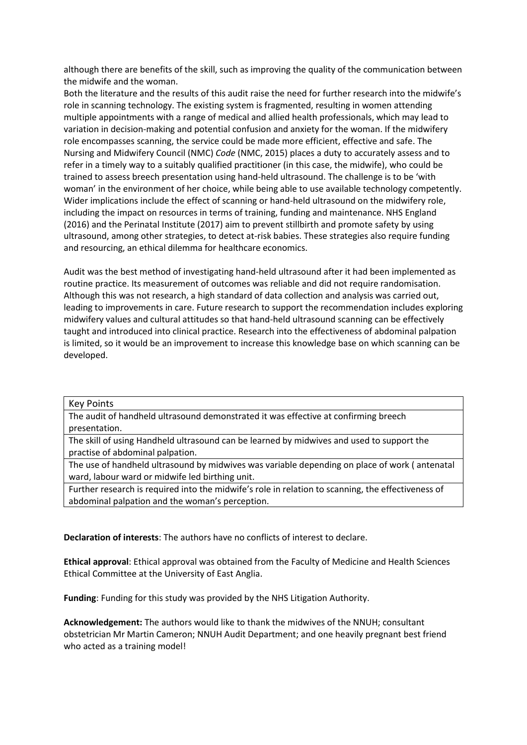although there are benefits of the skill, such as improving the quality of the communication between the midwife and the woman.

Both the literature and the results of this audit raise the need for further research into the midwife's role in scanning technology. The existing system is fragmented, resulting in women attending multiple appointments with a range of medical and allied health professionals, which may lead to variation in decision-making and potential confusion and anxiety for the woman. If the midwifery role encompasses scanning, the service could be made more efficient, effective and safe. The Nursing and Midwifery Council (NMC) *Code* (NMC, 2015) places a duty to accurately assess and to refer in a timely way to a suitably qualified practitioner (in this case, the midwife), who could be trained to assess breech presentation using hand-held ultrasound. The challenge is to be 'with woman' in the environment of her choice, while being able to use available technology competently. Wider implications include the effect of scanning or hand-held ultrasound on the midwifery role, including the impact on resources in terms of training, funding and maintenance. NHS England (2016) and the Perinatal Institute (2017) aim to prevent stillbirth and promote safety by using ultrasound, among other strategies, to detect at-risk babies. These strategies also require funding and resourcing, an ethical dilemma for healthcare economics.

Audit was the best method of investigating hand-held ultrasound after it had been implemented as routine practice. Its measurement of outcomes was reliable and did not require randomisation. Although this was not research, a high standard of data collection and analysis was carried out, leading to improvements in care. Future research to support the recommendation includes exploring midwifery values and cultural attitudes so that hand-held ultrasound scanning can be effectively taught and introduced into clinical practice. Research into the effectiveness of abdominal palpation is limited, so it would be an improvement to increase this knowledge base on which scanning can be developed.

#### Key Points

The audit of handheld ultrasound demonstrated it was effective at confirming breech presentation.

The skill of using Handheld ultrasound can be learned by midwives and used to support the practise of abdominal palpation.

The use of handheld ultrasound by midwives was variable depending on place of work ( antenatal ward, labour ward or midwife led birthing unit.

Further research is required into the midwife's role in relation to scanning, the effectiveness of abdominal palpation and the woman's perception.

**Declaration of interests**: The authors have no conflicts of interest to declare.

**Ethical approval**: Ethical approval was obtained from the Faculty of Medicine and Health Sciences Ethical Committee at the University of East Anglia.

**Funding**: Funding for this study was provided by the NHS Litigation Authority.

**Acknowledgement:** The authors would like to thank the midwives of the NNUH; consultant obstetrician Mr Martin Cameron; NNUH Audit Department; and one heavily pregnant best friend who acted as a training model!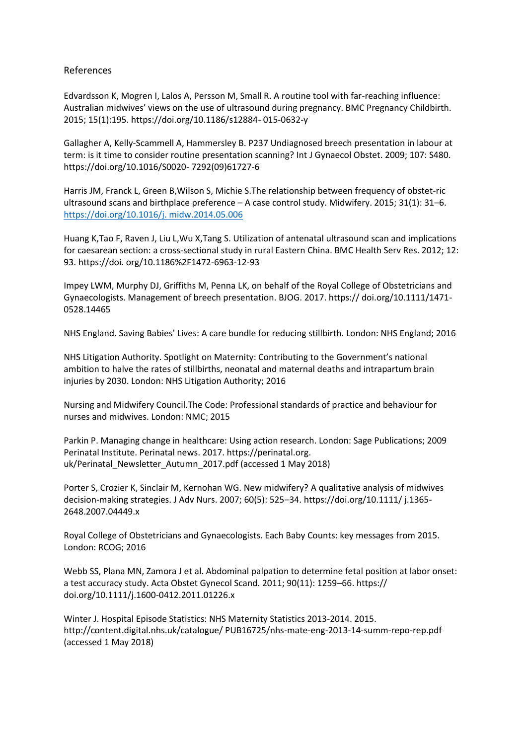### References

Edvardsson K, Mogren I, Lalos A, Persson M, Small R. A routine tool with far-reaching influence: Australian midwives' views on the use of ultrasound during pregnancy. BMC Pregnancy Childbirth. 2015; 15(1):195. https://doi.org/10.1186/s12884- 015-0632-y

Gallagher A, Kelly-Scammell A, Hammersley B. P237 Undiagnosed breech presentation in labour at term: is it time to consider routine presentation scanning? Int J Gynaecol Obstet. 2009; 107: S480. https://doi.org/10.1016/S0020- 7292(09)61727-6

Harris JM, Franck L, Green B,Wilson S, Michie S.The relationship between frequency of obstet-ric ultrasound scans and birthplace preference – A case control study. Midwifery. 2015; 31(1): 31–6. [https://doi.org/10.1016/j. midw.2014.05.006](https://doi.org/10.1016/j.%20midw.2014.05.006)

Huang K,Tao F, Raven J, Liu L,Wu X,Tang S. Utilization of antenatal ultrasound scan and implications for caesarean section: a cross-sectional study in rural Eastern China. BMC Health Serv Res. 2012; 12: 93. https://doi. org/10.1186%2F1472-6963-12-93

Impey LWM, Murphy DJ, Griffiths M, Penna LK, on behalf of the Royal College of Obstetricians and Gynaecologists. Management of breech presentation. BJOG. 2017. https:// doi.org/10.1111/1471- 0528.14465

NHS England. Saving Babies' Lives: A care bundle for reducing stillbirth. London: NHS England; 2016

NHS Litigation Authority. Spotlight on Maternity: Contributing to the Government's national ambition to halve the rates of stillbirths, neonatal and maternal deaths and intrapartum brain injuries by 2030. London: NHS Litigation Authority; 2016

Nursing and Midwifery Council.The Code: Professional standards of practice and behaviour for nurses and midwives. London: NMC; 2015

Parkin P. Managing change in healthcare: Using action research. London: Sage Publications; 2009 Perinatal Institute. Perinatal news. 2017. https://perinatal.org. uk/Perinatal\_Newsletter\_Autumn\_2017.pdf (accessed 1 May 2018)

Porter S, Crozier K, Sinclair M, Kernohan WG. New midwifery? A qualitative analysis of midwives decision-making strategies. J Adv Nurs. 2007; 60(5): 525–34. https://doi.org/10.1111/ j.1365- 2648.2007.04449.x

Royal College of Obstetricians and Gynaecologists. Each Baby Counts: key messages from 2015. London: RCOG; 2016

Webb SS, Plana MN, Zamora J et al. Abdominal palpation to determine fetal position at labor onset: a test accuracy study. Acta Obstet Gynecol Scand. 2011; 90(11): 1259–66. https:// doi.org/10.1111/j.1600-0412.2011.01226.x

Winter J. Hospital Episode Statistics: NHS Maternity Statistics 2013-2014. 2015. http://content.digital.nhs.uk/catalogue/ PUB16725/nhs-mate-eng-2013-14-summ-repo-rep.pdf (accessed 1 May 2018)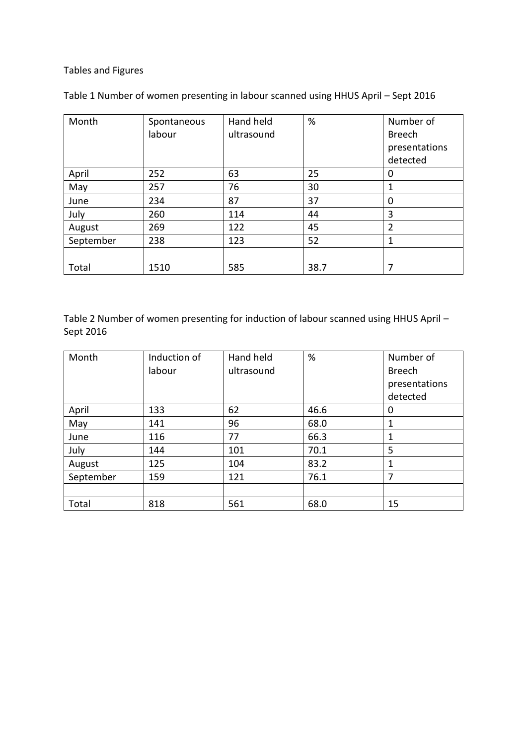# Tables and Figures

| Month     | Spontaneous<br>labour | Hand held<br>ultrasound | %    | Number of<br><b>Breech</b><br>presentations<br>detected |
|-----------|-----------------------|-------------------------|------|---------------------------------------------------------|
| April     | 252                   | 63                      | 25   | 0                                                       |
| May       | 257                   | 76                      | 30   |                                                         |
| June      | 234                   | 87                      | 37   | 0                                                       |
| July      | 260                   | 114                     | 44   | 3                                                       |
| August    | 269                   | 122                     | 45   | $\overline{2}$                                          |
| September | 238                   | 123                     | 52   | 1                                                       |
|           |                       |                         |      |                                                         |
| Total     | 1510                  | 585                     | 38.7 | 7                                                       |

Table 1 Number of women presenting in labour scanned using HHUS April – Sept 2016

Table 2 Number of women presenting for induction of labour scanned using HHUS April – Sept 2016

| Month     | Induction of<br>labour | Hand held<br>ultrasound | %    | Number of<br><b>Breech</b><br>presentations<br>detected |
|-----------|------------------------|-------------------------|------|---------------------------------------------------------|
|           |                        |                         |      |                                                         |
| April     | 133                    | 62                      | 46.6 | 0                                                       |
| May       | 141                    | 96                      | 68.0 | 1                                                       |
| June      | 116                    | 77                      | 66.3 | 1                                                       |
| July      | 144                    | 101                     | 70.1 | 5                                                       |
| August    | 125                    | 104                     | 83.2 | 1                                                       |
| September | 159                    | 121                     | 76.1 | 7                                                       |
|           |                        |                         |      |                                                         |
| Total     | 818                    | 561                     | 68.0 | 15                                                      |